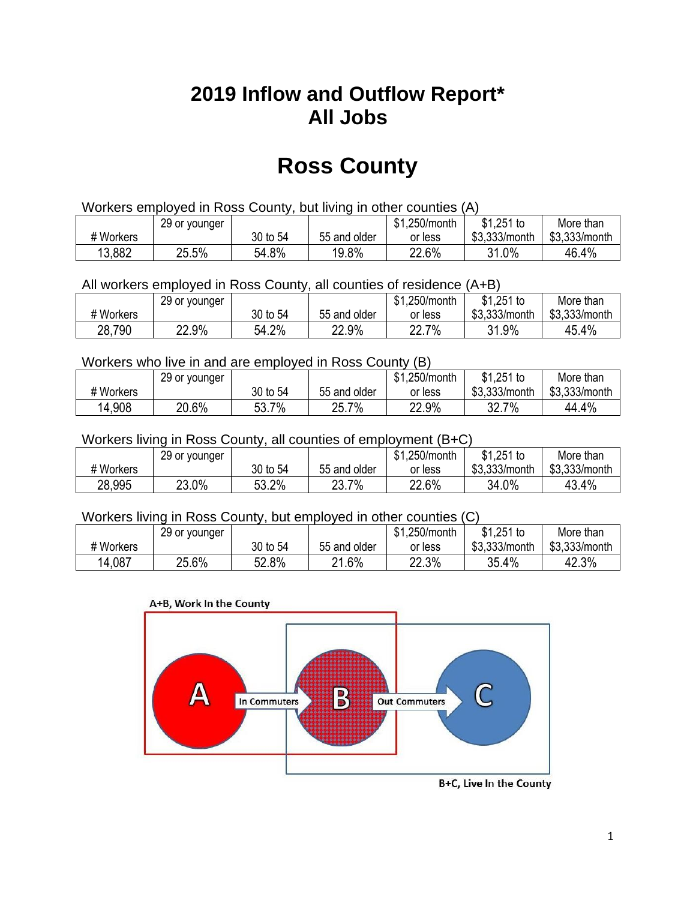## **2019 Inflow and Outflow Report\* All Jobs**

# **Ross County**

| Workers employed in Ross County, but living in other counties (A) |                                                            |          |              |         |               |               |  |  |  |
|-------------------------------------------------------------------|------------------------------------------------------------|----------|--------------|---------|---------------|---------------|--|--|--|
|                                                                   | $$1,251$ to<br>\$1.250/month<br>29 or younger<br>More than |          |              |         |               |               |  |  |  |
| # Workers                                                         |                                                            | 30 to 54 | 55 and older | or less | \$3.333/month | \$3,333/month |  |  |  |
| 13,882                                                            | 25.5%                                                      | 54.8%    | 19.8%        | 22.6%   | 31.0%         | 46.4%         |  |  |  |

All workers employed in Ross County, all counties of residence (A+B)

|           | 29 or younger |          |              | \$1,250/month | $$1,251$ to   | More than     |
|-----------|---------------|----------|--------------|---------------|---------------|---------------|
| # Workers |               | 30 to 54 | 55 and older | or less       | \$3,333/month | \$3,333/month |
| 28,790    | 22.9%         | 54.2%    | 22.9%        | 22.7%         | 31.9%<br>ົາ 1 | 45.4%         |

#### Workers who live in and are employed in Ross County (B)

|           | 29 or younger |          |              | \$1,250/month | $$1,251$ to   | More than     |
|-----------|---------------|----------|--------------|---------------|---------------|---------------|
| # Workers |               | 30 to 54 | 55 and older | or less       | \$3,333/month | \$3,333/month |
| 14,908    | 20.6%         | 53.7%    | 25.7%        | 22.9%         | $7\%$<br>32.7 | 44.4%         |

#### Workers living in Ross County, all counties of employment (B+C)

|           | 29 or younger |          |              | \$1,250/month | \$1,251 to    | More than     |
|-----------|---------------|----------|--------------|---------------|---------------|---------------|
| # Workers |               | 30 to 54 | 55 and older | or less       | \$3,333/month | \$3,333/month |
| 28,995    | 23.0%         | 53.2%    | 23.7%        | 22.6%         | 34.0%         | 43.4%         |

#### Workers living in Ross County, but employed in other counties (C)

|           | 29 or younger |          |              | \$1,250/month | $$1,251$ to   | More than     |
|-----------|---------------|----------|--------------|---------------|---------------|---------------|
| # Workers |               | 30 to 54 | 55 and older | or less       | \$3,333/month | \$3,333/month |
| 14,087    | 25.6%         | 52.8%    | 21.6%        | 22.3%         | 35.4%         | 42.3%         |



B+C, Live In the County